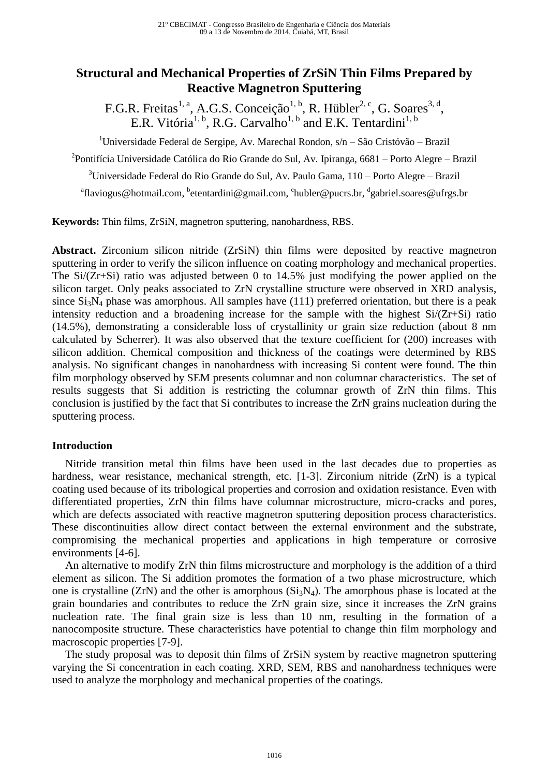# **Structural and Mechanical Properties of ZrSiN Thin Films Prepared by Reactive Magnetron Sputtering**

F.G.R. Freitas<sup>1, a</sup>, A.G.S. Conceição<sup>1, b</sup>, R. Hübler<sup>2, c</sup>, G. Soares<sup>3, d</sup>, E.R. Vitória<sup>1, b</sup>, R.G. Carvalho<sup>1, b</sup> and E.K. Tentardini<sup>1, b</sup>

<sup>1</sup>Universidade Federal de Sergipe, Av. Marechal Rondon, s/n – São Cristóvão – Brazil

<sup>2</sup>Pontifícia Universidade Católica do Rio Grande do Sul, Av. Ipiranga, 6681 – Porto Alegre – Brazil

 $3$ Universidade Federal do Rio Grande do Sul, Av. Paulo Gama,  $110 -$ Porto Alegre – Brazil

<sup>a</sup>[flaviogus@hotmail.com,](mailto:aflaviogus@hotmail.com) <sup>b</sup>[etentardini@gmail.com,](mailto:etentardini@gmail.com) <sup>c</sup>[hubler@pucrs.br,](mailto:hubler@pucrs.br) <sup>d</sup>[gabriel.soares@ufrgs.br](mailto:gabriel.soares@ufrgs.br)

**Keywords:** Thin films, ZrSiN, magnetron sputtering, nanohardness, RBS.

**Abstract.** Zirconium silicon nitride (ZrSiN) thin films were deposited by reactive magnetron sputtering in order to verify the silicon influence on coating morphology and mechanical properties. The  $Si/(Zr+Si)$  ratio was adjusted between 0 to 14.5% just modifying the power applied on the silicon target. Only peaks associated to ZrN crystalline structure were observed in XRD analysis, since  $Si<sub>3</sub>N<sub>4</sub>$  phase was amorphous. All samples have (111) preferred orientation, but there is a peak intensity reduction and a broadening increase for the sample with the highest  $Si/(Zr+Si)$  ratio (14.5%), demonstrating a considerable loss of crystallinity or grain size reduction (about 8 nm calculated by Scherrer). It was also observed that the texture coefficient for (200) increases with silicon addition. Chemical composition and thickness of the coatings were determined by RBS analysis. No significant changes in nanohardness with increasing Si content were found. The thin film morphology observed by SEM presents columnar and non columnar characteristics. The set of results suggests that Si addition is restricting the columnar growth of ZrN thin films. This conclusion is justified by the fact that Si contributes to increase the ZrN grains nucleation during the sputtering process.

#### **Introduction**

Nitride transition metal thin films have been used in the last decades due to properties as hardness, wear resistance, mechanical strength, etc. [1-3]. Zirconium nitride (ZrN) is a typical coating used because of its tribological properties and corrosion and oxidation resistance. Even with differentiated properties, ZrN thin films have columnar microstructure, micro-cracks and pores, which are defects associated with reactive magnetron sputtering deposition process characteristics. These discontinuities allow direct contact between the external environment and the substrate, compromising the mechanical properties and applications in high temperature or corrosive environments [4-6].

An alternative to modify ZrN thin films microstructure and morphology is the addition of a third element as silicon. The Si addition promotes the formation of a two phase microstructure, which one is crystalline (ZrN) and the other is amorphous  $(Si<sub>3</sub>N<sub>4</sub>)$ . The amorphous phase is located at the grain boundaries and contributes to reduce the ZrN grain size, since it increases the ZrN grains nucleation rate. The final grain size is less than 10 nm, resulting in the formation of a nanocomposite structure. These characteristics have potential to change thin film morphology and macroscopic properties [7-9].

The study proposal was to deposit thin films of ZrSiN system by reactive magnetron sputtering varying the Si concentration in each coating. XRD, SEM, RBS and nanohardness techniques were used to analyze the morphology and mechanical properties of the coatings.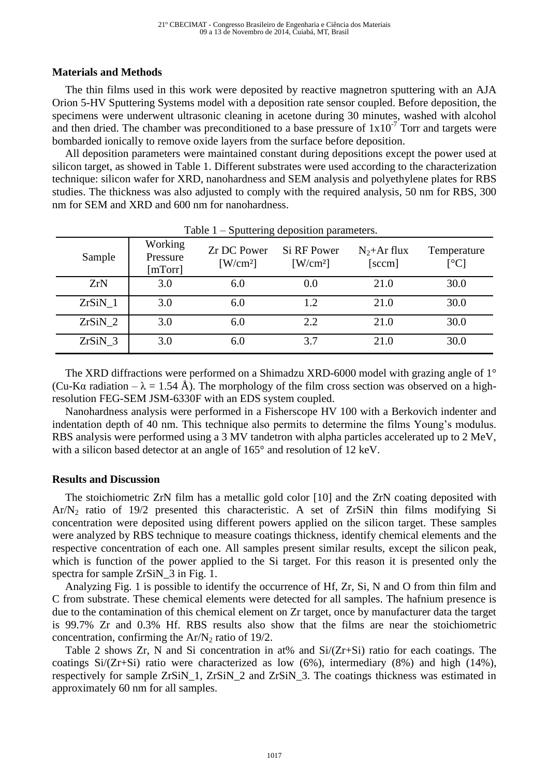#### **Materials and Methods**

The thin films used in this work were deposited by reactive magnetron sputtering with an AJA Orion 5-HV Sputtering Systems model with a deposition rate sensor coupled. Before deposition, the specimens were underwent ultrasonic cleaning in acetone during 30 minutes, washed with alcohol and then dried. The chamber was preconditioned to a base pressure of  $1x10^{-7}$  Torr and targets were bombarded ionically to remove oxide layers from the surface before deposition.

All deposition parameters were maintained constant during depositions except the power used at silicon target, as showed in Table 1. Different substrates were used according to the characterization technique: silicon wafer for XRD, nanohardness and SEM analysis and polyethylene plates for RBS studies. The thickness was also adjusted to comply with the required analysis, 50 nm for RBS, 300 nm for SEM and XRD and 600 nm for nanohardness.

| Table $1$ – Sputtering deposition parameters. |                                |                                                    |                                             |                          |                                          |  |  |  |
|-----------------------------------------------|--------------------------------|----------------------------------------------------|---------------------------------------------|--------------------------|------------------------------------------|--|--|--|
| Sample                                        | Working<br>Pressure<br>[mTorr] | <b>Zr DC Power</b><br>$\left[\text{W/cm}^2\right]$ | Si RF Power<br>$\left[\text{W/cm}^2\right]$ | $N_2$ +Ar flux<br>[sccm] | Temperature<br>$\lceil{^{\circ}C}\rceil$ |  |  |  |
| ZrN                                           | 3.0                            | 6.0                                                | 0.0                                         | 21.0                     | 30.0                                     |  |  |  |
| ZrSiN <sub>1</sub>                            | 3.0                            | 6.0                                                | 1.2                                         | 21.0                     | 30.0                                     |  |  |  |
| ZrSiN <sub>2</sub>                            | 3.0                            | 6.0                                                | 2.2                                         | 21.0                     | 30.0                                     |  |  |  |
| ZrSiN <sub>3</sub>                            | 3.0                            | 6.0                                                | 3.7                                         | 21.0                     | 30.0                                     |  |  |  |

The XRD diffractions were performed on a Shimadzu XRD-6000 model with grazing angle of 1<sup>°</sup> (Cu-Kα radiation –  $\lambda = 1.54$  Å). The morphology of the film cross section was observed on a highresolution FEG-SEM JSM-6330F with an EDS system coupled.

Nanohardness analysis were performed in a Fisherscope HV 100 with a Berkovich indenter and indentation depth of 40 nm. This technique also permits to determine the films Young's modulus. RBS analysis were performed using a 3 MV tandetron with alpha particles accelerated up to 2 MeV, with a silicon based detector at an angle of  $165^{\circ}$  and resolution of 12 keV.

#### **Results and Discussion**

The stoichiometric ZrN film has a metallic gold color [10] and the ZrN coating deposited with Ar/N<sup>2</sup> ratio of 19/2 presented this characteristic. A set of ZrSiN thin films modifying Si concentration were deposited using different powers applied on the silicon target. These samples were analyzed by RBS technique to measure coatings thickness, identify chemical elements and the respective concentration of each one. All samples present similar results, except the silicon peak, which is function of the power applied to the Si target. For this reason it is presented only the spectra for sample ZrSiN\_3 in Fig. 1.

Analyzing Fig. 1 is possible to identify the occurrence of Hf, Zr, Si, N and O from thin film and C from substrate. These chemical elements were detected for all samples. The hafnium presence is due to the contamination of this chemical element on Zr target, once by manufacturer data the target is 99.7% Zr and 0.3% Hf. RBS results also show that the films are near the stoichiometric concentration, confirming the  $Ar/N_2$  ratio of 19/2.

Table 2 shows  $Zr$ , N and Si concentration in at% and  $Si/(Zr+Si)$  ratio for each coatings. The coatings  $Si/(Zr+Si)$  ratio were characterized as low (6%), intermediary (8%) and high (14%), respectively for sample ZrSiN\_1, ZrSiN\_2 and ZrSiN\_3. The coatings thickness was estimated in approximately 60 nm for all samples.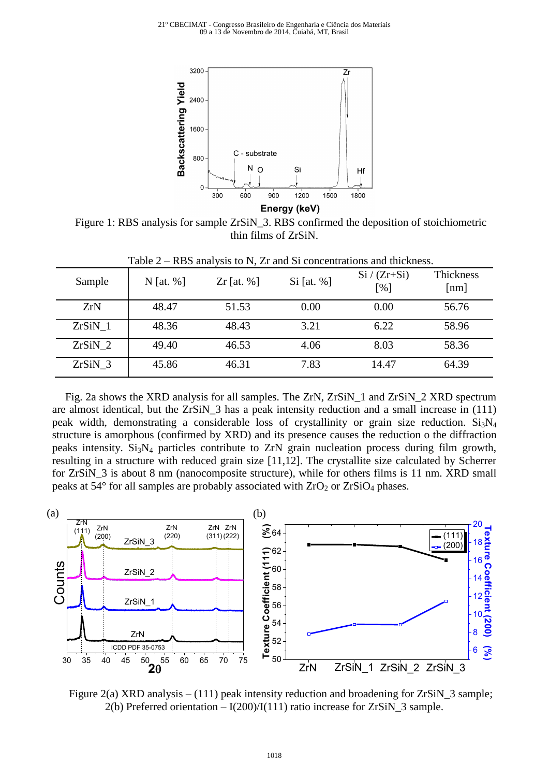21º CBECIMAT - Congresso Brasileiro de Engenharia e Ciência dos Materiais 09 a 13 de Novembro de 2014, Cuiabá, MT, Brasil



Figure 1: RBS analysis for sample ZrSiN\_3. RBS confirmed the deposition of stoichiometric thin films of ZrSiN.

| Sample             | N [at. $%$ ] | Zr [at. $%$ ] | $Si$ [at. %] | $Si / (Zr + Si)$<br>[%] | Thickness<br>[nm] |
|--------------------|--------------|---------------|--------------|-------------------------|-------------------|
| ZrN                | 48.47        | 51.53         | 0.00         | 0.00                    | 56.76             |
| ZrSiN <sub>1</sub> | 48.36        | 48.43         | 3.21         | 6.22                    | 58.96             |
| $ZrSiN_2$          | 49.40        | 46.53         | 4.06         | 8.03                    | 58.36             |
| $ZrSiN_3$          | 45.86        | 46.31         | 7.83         | 14.47                   | 64.39             |

Table 2 – RBS analysis to N, Zr and Si concentrations and thickness.

Fig. 2a shows the XRD analysis for all samples. The ZrN, ZrSiN\_1 and ZrSiN\_2 XRD spectrum are almost identical, but the ZrSiN\_3 has a peak intensity reduction and a small increase in (111) peak width, demonstrating a considerable loss of crystallinity or grain size reduction. Si<sub>3</sub>N<sub>4</sub> structure is amorphous (confirmed by XRD) and its presence causes the reduction o the diffraction peaks intensity. Si3N<sup>4</sup> particles contribute to ZrN grain nucleation process during film growth, resulting in a structure with reduced grain size [11,12]. The crystallite size calculated by Scherrer for ZrSiN\_3 is about 8 nm (nanocomposite structure), while for others films is 11 nm. XRD small peaks at  $54^{\circ}$  for all samples are probably associated with  $ZrO<sub>2</sub>$  or  $ZrSiO<sub>4</sub>$  phases.



Figure 2(a) XRD analysis – (111) peak intensity reduction and broadening for ZrSiN\_3 sample; 2(b) Preferred orientation  $- I(200)/I(111)$  ratio increase for ZrSiN\_3 sample.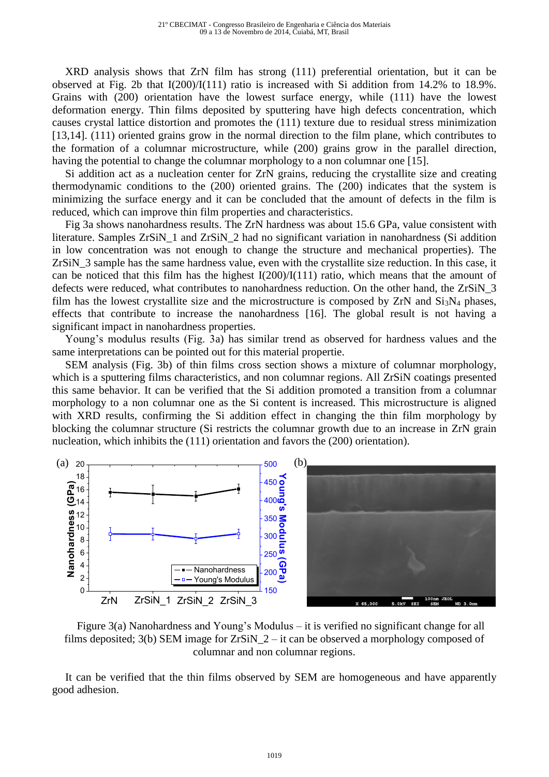XRD analysis shows that ZrN film has strong (111) preferential orientation, but it can be observed at Fig. 2b that I(200)/I(111) ratio is increased with Si addition from 14.2% to 18.9%. Grains with (200) orientation have the lowest surface energy, while (111) have the lowest deformation energy. Thin films deposited by sputtering have high defects concentration, which causes crystal lattice distortion and promotes the (111) texture due to residual stress minimization [13,14]. (111) oriented grains grow in the normal direction to the film plane, which contributes to the formation of a columnar microstructure, while (200) grains grow in the parallel direction, having the potential to change the columnar morphology to a non columnar one [15].

Si addition act as a nucleation center for ZrN grains, reducing the crystallite size and creating thermodynamic conditions to the (200) oriented grains. The (200) indicates that the system is minimizing the surface energy and it can be concluded that the amount of defects in the film is reduced, which can improve thin film properties and characteristics.

Fig 3a shows nanohardness results. The ZrN hardness was about 15.6 GPa, value consistent with literature. Samples ZrSiN\_1 and ZrSiN\_2 had no significant variation in nanohardness (Si addition in low concentration was not enough to change the structure and mechanical properties). The ZrSiN\_3 sample has the same hardness value, even with the crystallite size reduction. In this case, it can be noticed that this film has the highest I(200)/I(111) ratio, which means that the amount of defects were reduced, what contributes to nanohardness reduction. On the other hand, the ZrSiN 3 film has the lowest crystallite size and the microstructure is composed by  $ZrN$  and  $Si<sub>3</sub>N<sub>4</sub>$  phases, effects that contribute to increase the nanohardness [16]. The global result is not having a significant impact in nanohardness properties.

Young's modulus results (Fig. 3a) has similar trend as observed for hardness values and the same interpretations can be pointed out for this material propertie.

SEM analysis (Fig. 3b) of thin films cross section shows a mixture of columnar morphology, which is a sputtering films characteristics, and non columnar regions. All ZrSiN coatings presented this same behavior. It can be verified that the Si addition promoted a transition from a columnar morphology to a non columnar one as the Si content is increased. This microstructure is aligned with XRD results, confirming the Si addition effect in changing the thin film morphology by blocking the columnar structure (Si restricts the columnar growth due to an increase in ZrN grain nucleation, which inhibits the (111) orientation and favors the (200) orientation).



Figure 3(a) Nanohardness and Young's Modulus – it is verified no significant change for all films deposited; 3(b) SEM image for ZrSiN\_2 – it can be observed a morphology composed of columnar and non columnar regions.

It can be verified that the thin films observed by SEM are homogeneous and have apparently good adhesion.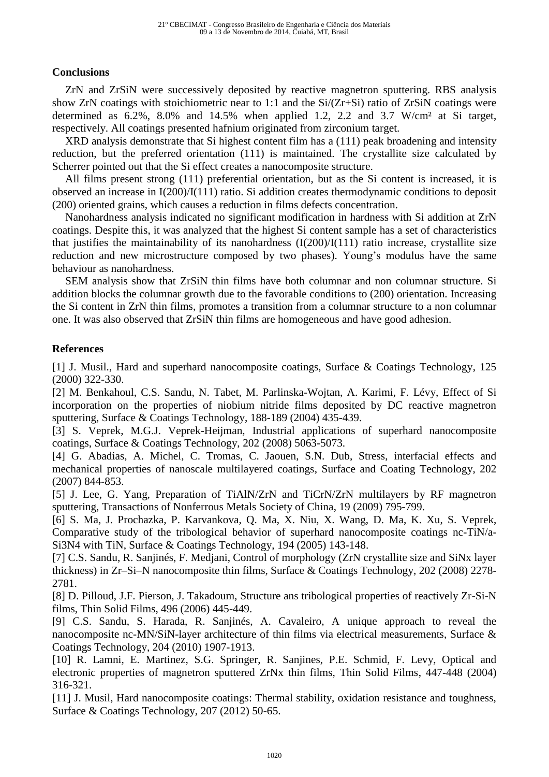## **Conclusions**

ZrN and ZrSiN were successively deposited by reactive magnetron sputtering. RBS analysis show ZrN coatings with stoichiometric near to 1:1 and the Si/(Zr+Si) ratio of ZrSiN coatings were determined as  $6.2\%$ ,  $8.0\%$  and  $14.5\%$  when applied 1.2, 2.2 and 3.7 W/cm<sup>2</sup> at Si target, respectively. All coatings presented hafnium originated from zirconium target.

XRD analysis demonstrate that Si highest content film has a (111) peak broadening and intensity reduction, but the preferred orientation (111) is maintained. The crystallite size calculated by Scherrer pointed out that the Si effect creates a nanocomposite structure.

All films present strong (111) preferential orientation, but as the Si content is increased, it is observed an increase in I(200)/I(111) ratio. Si addition creates thermodynamic conditions to deposit (200) oriented grains, which causes a reduction in films defects concentration.

Nanohardness analysis indicated no significant modification in hardness with Si addition at ZrN coatings. Despite this, it was analyzed that the highest Si content sample has a set of characteristics that justifies the maintainability of its nanohardness  $(I(200)/I(111)$  ratio increase, crystallite size reduction and new microstructure composed by two phases). Young's modulus have the same behaviour as nanohardness.

SEM analysis show that ZrSiN thin films have both columnar and non columnar structure. Si addition blocks the columnar growth due to the favorable conditions to (200) orientation. Increasing the Si content in ZrN thin films, promotes a transition from a columnar structure to a non columnar one. It was also observed that ZrSiN thin films are homogeneous and have good adhesion.

### **References**

[1] J. Musil., Hard and superhard nanocomposite coatings, Surface & Coatings Technology, 125 (2000) 322-330.

[2] M. Benkahoul, C.S. Sandu, N. Tabet, M. Parlinska-Wojtan, A. Karimi, F. Lévy, Effect of Si incorporation on the properties of niobium nitride films deposited by DC reactive magnetron sputtering, Surface & Coatings Technology, 188-189 (2004) 435-439.

[3] S. Veprek, M.G.J. Veprek-Heijman, Industrial applications of superhard nanocomposite coatings, Surface & Coatings Technology, 202 (2008) 5063-5073.

[4] G. Abadias, A. Michel, C. Tromas, C. Jaouen, S.N. Dub, [Stress, interfacial effects and](http://www.sciencedirect.com/science/article/pii/S0257897207005889)  [mechanical properties of nanoscale multilayered coatings,](http://www.sciencedirect.com/science/article/pii/S0257897207005889) Surface and Coating Technology, 202 (2007) 844-853.

[5] J. Lee, G. Yang, [Preparation of TiAlN/ZrN and TiCrN/ZrN multilayers by RF magnetron](http://www.sciencedirect.com/science/article/pii/S1003632608603520)  [sputtering,](http://www.sciencedirect.com/science/article/pii/S1003632608603520) Transactions of Nonferrous Metals Society of China, 19 (2009) 795-799.

[6] S. Ma, J. Prochazka, P. Karvankova, Q. Ma, X. Niu, X. Wang, D. Ma, K. Xu, S. Veprek, Comparative study of the tribological behavior of superhard nanocomposite coatings nc-TiN/a-Si3N4 with TiN, Surface & Coatings Technology, 194 (2005) 143-148.

[7] C.S. Sandu, R. Sanjinés, F. Medjani, Control of morphology (ZrN crystallite size and SiNx layer thickness) in Zr–Si–N nanocomposite thin films, Surface & Coatings Technology, 202 (2008) 2278- 2781.

[8] D. Pilloud, J.F. Pierson, J. Takadoum, Structure ans tribological properties of reactively Zr-Si-N films, Thin Solid Films, 496 (2006) 445-449.

[9] C.S. Sandu, S. Harada, R. Sanjinés, A. Cavaleiro, A unique approach to reveal the nanocomposite nc-MN/SiN-layer architecture of thin films via electrical measurements, Surface & Coatings Technology, 204 (2010) 1907-1913.

[10] R. Lamni, E. Martinez, S.G. Springer, R. Sanjines, P.E. Schmid, F. Levy, Optical and electronic properties of magnetron sputtered ZrNx thin films, Thin Solid Films, 447-448 (2004) 316-321.

[11] J. Musil, Hard nanocomposite coatings: Thermal stability, oxidation resistance and toughness, Surface & Coatings Technology, 207 (2012) 50-65.